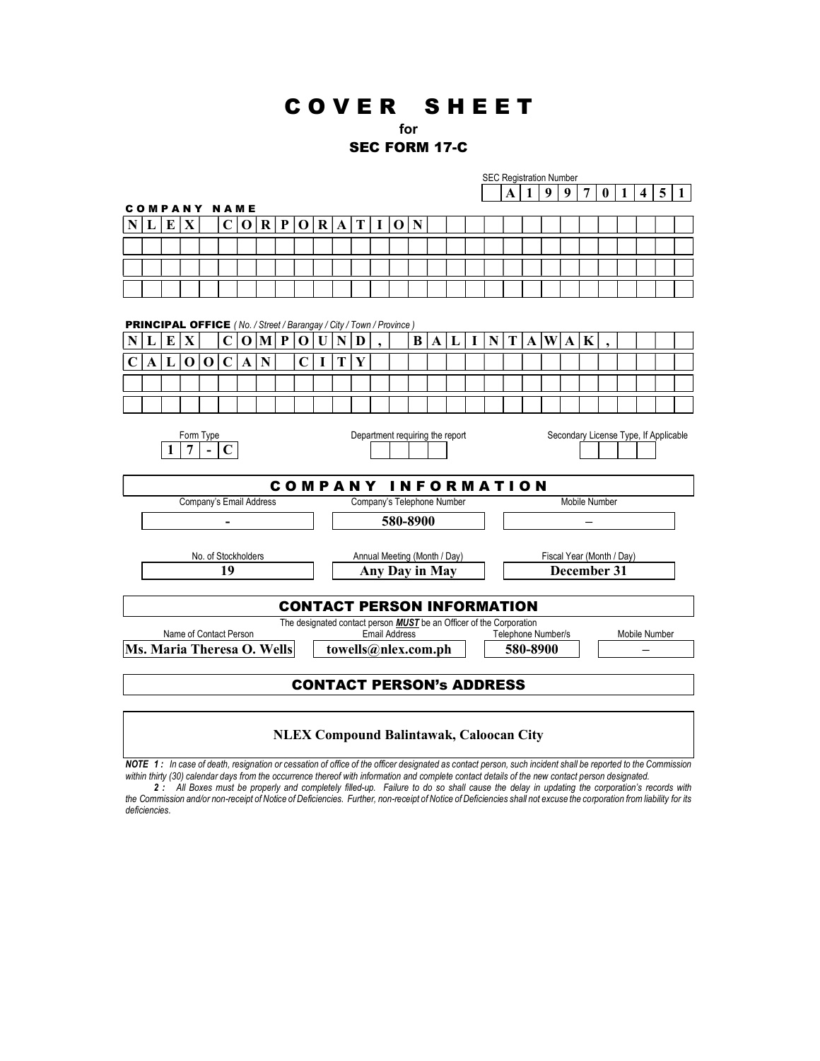# C O V E R S H E E T

## for

## SEC FORM 17-C

|                                                                                     |                                                                                       |              |                     |   |              |             |   |   |                                   |                     |                                                                                                    |                              |                 |     |               |          |   |   |                                     | <b>SEC Registration Number</b> |              |    |     |                |          |   |                |                |              |  |
|-------------------------------------------------------------------------------------|---------------------------------------------------------------------------------------|--------------|---------------------|---|--------------|-------------|---|---|-----------------------------------|---------------------|----------------------------------------------------------------------------------------------------|------------------------------|-----------------|-----|---------------|----------|---|---|-------------------------------------|--------------------------------|--------------|----|-----|----------------|----------|---|----------------|----------------|--------------|--|
|                                                                                     |                                                                                       |              |                     |   |              |             |   |   |                                   |                     |                                                                                                    |                              |                 |     |               |          |   |   |                                     | A                              | 1            | -9 | 9   | $\overline{7}$ | $\bf{0}$ | 1 | $\overline{4}$ | $\overline{5}$ | $\mathbf{1}$ |  |
|                                                                                     |                                                                                       |              | <b>COMPANY NAME</b> |   |              |             |   |   |                                   |                     |                                                                                                    |                              |                 |     |               |          |   |   |                                     |                                |              |    |     |                |          |   |                |                |              |  |
| N L                                                                                 |                                                                                       | E            | $\mathbf X$         |   | $\mathbf{C}$ | $\mathbf 0$ | R | P |                                   |                     |                                                                                                    | O R A T                      | $\vert$ $\vert$ | 0 N |               |          |   |   |                                     |                                |              |    |     |                |          |   |                |                |              |  |
|                                                                                     |                                                                                       |              |                     |   |              |             |   |   |                                   |                     |                                                                                                    |                              |                 |     |               |          |   |   |                                     |                                |              |    |     |                |          |   |                |                |              |  |
|                                                                                     |                                                                                       |              |                     |   |              |             |   |   |                                   |                     |                                                                                                    |                              |                 |     |               |          |   |   |                                     |                                |              |    |     |                |          |   |                |                |              |  |
|                                                                                     |                                                                                       |              |                     |   |              |             |   |   |                                   |                     |                                                                                                    |                              |                 |     |               |          |   |   |                                     |                                |              |    |     |                |          |   |                |                |              |  |
|                                                                                     |                                                                                       |              |                     |   |              |             |   |   |                                   |                     |                                                                                                    |                              |                 |     |               |          |   |   |                                     |                                |              |    |     |                |          |   |                |                |              |  |
|                                                                                     |                                                                                       |              |                     |   |              |             |   |   |                                   |                     |                                                                                                    |                              |                 |     |               |          |   |   |                                     |                                |              |    |     |                |          |   |                |                |              |  |
| <b>PRINCIPAL OFFICE</b> ( No. / Street / Barangay / City / Town / Province )        |                                                                                       |              |                     |   |              |             |   |   |                                   |                     |                                                                                                    |                              |                 |     |               |          |   |   |                                     |                                |              |    |     |                |          |   |                |                |              |  |
| $\mathbf X$<br>$\vert M \vert P \vert$<br>$\mathbf 0$<br>E<br>C<br>$\mathbf 0$<br>L |                                                                                       |              |                     |   |              |             |   |   |                                   | $\mathbf{U}$        | N                                                                                                  | D                            |                 |     | B             | $\bf{A}$ | L | T | $\mathbf N$                         | T                              | $\mathbf{A}$ |    | W A | K              |          |   |                |                |              |  |
|                                                                                     |                                                                                       |              |                     |   |              |             |   |   |                                   |                     |                                                                                                    |                              |                 |     |               |          |   |   |                                     |                                |              |    |     |                |          |   |                |                |              |  |
|                                                                                     | A                                                                                     | $\mathbf{L}$ | O                   | O | C            | A           | N |   | C                                 | I                   | т                                                                                                  | Y                            |                 |     |               |          |   |   |                                     |                                |              |    |     |                |          |   |                |                |              |  |
|                                                                                     |                                                                                       |              |                     |   |              |             |   |   |                                   |                     |                                                                                                    |                              |                 |     |               |          |   |   |                                     |                                |              |    |     |                |          |   |                |                |              |  |
|                                                                                     |                                                                                       |              |                     |   |              |             |   |   |                                   |                     |                                                                                                    |                              |                 |     |               |          |   |   |                                     |                                |              |    |     |                |          |   |                |                |              |  |
|                                                                                     |                                                                                       |              |                     |   |              |             |   |   |                                   |                     |                                                                                                    |                              |                 |     |               |          |   |   |                                     |                                |              |    |     |                |          |   |                |                |              |  |
|                                                                                     | Department requiring the report<br>Secondary License Type, If Applicable<br>Form Type |              |                     |   |              |             |   |   |                                   |                     |                                                                                                    |                              |                 |     |               |          |   |   |                                     |                                |              |    |     |                |          |   |                |                |              |  |
| 7<br>C                                                                              |                                                                                       |              |                     |   |              |             |   |   |                                   |                     |                                                                                                    |                              |                 |     |               |          |   |   |                                     |                                |              |    |     |                |          |   |                |                |              |  |
|                                                                                     |                                                                                       |              |                     |   |              |             |   |   |                                   |                     |                                                                                                    |                              |                 |     |               |          |   |   |                                     |                                |              |    |     |                |          |   |                |                |              |  |
| <b>COMPANY</b><br><b>INFORMATION</b>                                                |                                                                                       |              |                     |   |              |             |   |   |                                   |                     |                                                                                                    |                              |                 |     |               |          |   |   |                                     |                                |              |    |     |                |          |   |                |                |              |  |
|                                                                                     | Company's Email Address<br>Company's Telephone Number                                 |              |                     |   |              |             |   |   |                                   |                     |                                                                                                    |                              |                 |     | Mobile Number |          |   |   |                                     |                                |              |    |     |                |          |   |                |                |              |  |
|                                                                                     |                                                                                       |              |                     |   |              |             |   |   |                                   |                     | 580-8900                                                                                           |                              |                 |     |               |          |   |   |                                     |                                |              |    |     |                |          |   |                |                |              |  |
|                                                                                     |                                                                                       |              |                     |   |              |             |   |   |                                   |                     |                                                                                                    |                              |                 |     |               |          |   |   |                                     |                                |              |    |     |                |          |   |                |                |              |  |
| No. of Stockholders                                                                 |                                                                                       |              |                     |   |              |             |   |   |                                   |                     |                                                                                                    | Annual Meeting (Month / Day) |                 |     |               |          |   |   |                                     | Fiscal Year (Month / Day)      |              |    |     |                |          |   |                |                |              |  |
|                                                                                     | 19                                                                                    |              |                     |   |              |             |   |   |                                   |                     | <b>Any Day in May</b>                                                                              |                              |                 |     |               |          |   |   |                                     | December 31                    |              |    |     |                |          |   |                |                |              |  |
|                                                                                     |                                                                                       |              |                     |   |              |             |   |   |                                   |                     |                                                                                                    |                              |                 |     |               |          |   |   |                                     |                                |              |    |     |                |          |   |                |                |              |  |
|                                                                                     |                                                                                       |              |                     |   |              |             |   |   | <b>CONTACT PERSON INFORMATION</b> |                     |                                                                                                    |                              |                 |     |               |          |   |   |                                     |                                |              |    |     |                |          |   |                |                |              |  |
|                                                                                     |                                                                                       |              |                     |   |              |             |   |   |                                   |                     |                                                                                                    |                              |                 |     |               |          |   |   |                                     |                                |              |    |     |                |          |   |                |                |              |  |
| Name of Contact Person                                                              |                                                                                       |              |                     |   |              |             |   |   |                                   |                     | The designated contact person <b>MUST</b> be an Officer of the Corporation<br><b>Email Address</b> |                              |                 |     |               |          |   |   | Telephone Number/s<br>Mobile Number |                                |              |    |     |                |          |   |                |                |              |  |
| Ms. Maria Theresa O. Wells                                                          |                                                                                       |              |                     |   |              |             |   |   |                                   | towells@nlex.com.ph |                                                                                                    |                              |                 |     |               |          |   |   | 580-8900                            |                                |              |    |     |                |          |   |                |                |              |  |
|                                                                                     |                                                                                       |              |                     |   |              |             |   |   |                                   |                     |                                                                                                    |                              |                 |     |               |          |   |   |                                     |                                |              |    |     |                |          |   |                |                |              |  |
|                                                                                     |                                                                                       |              |                     |   |              |             |   |   | <b>CONTACT PERSON's ADDRESS</b>   |                     |                                                                                                    |                              |                 |     |               |          |   |   |                                     |                                |              |    |     |                |          |   |                |                |              |  |
|                                                                                     |                                                                                       |              |                     |   |              |             |   |   |                                   |                     |                                                                                                    |                              |                 |     |               |          |   |   |                                     |                                |              |    |     |                |          |   |                |                |              |  |
|                                                                                     |                                                                                       |              |                     |   |              |             |   |   |                                   |                     |                                                                                                    |                              |                 |     |               |          |   |   |                                     |                                |              |    |     |                |          |   |                |                |              |  |

#### NLEX Compound Balintawak, Caloocan City

NOTE 1: In case of death, resignation or cessation of office of the officer designated as contact person, such incident shall be reported to the Commission within thirty (30) calendar days from the occurrence thereof with information and complete contact details of the new contact person designated.

2 : All Boxes must be properly and completely filled-up. Failure to do so shall cause the delay in updating the corporation's records with the Commission and/or non-receipt of Notice of Deficiencies. Further, non-receipt of Notice of Deficiencies shall not excuse the corporation from liability for its deficiencies.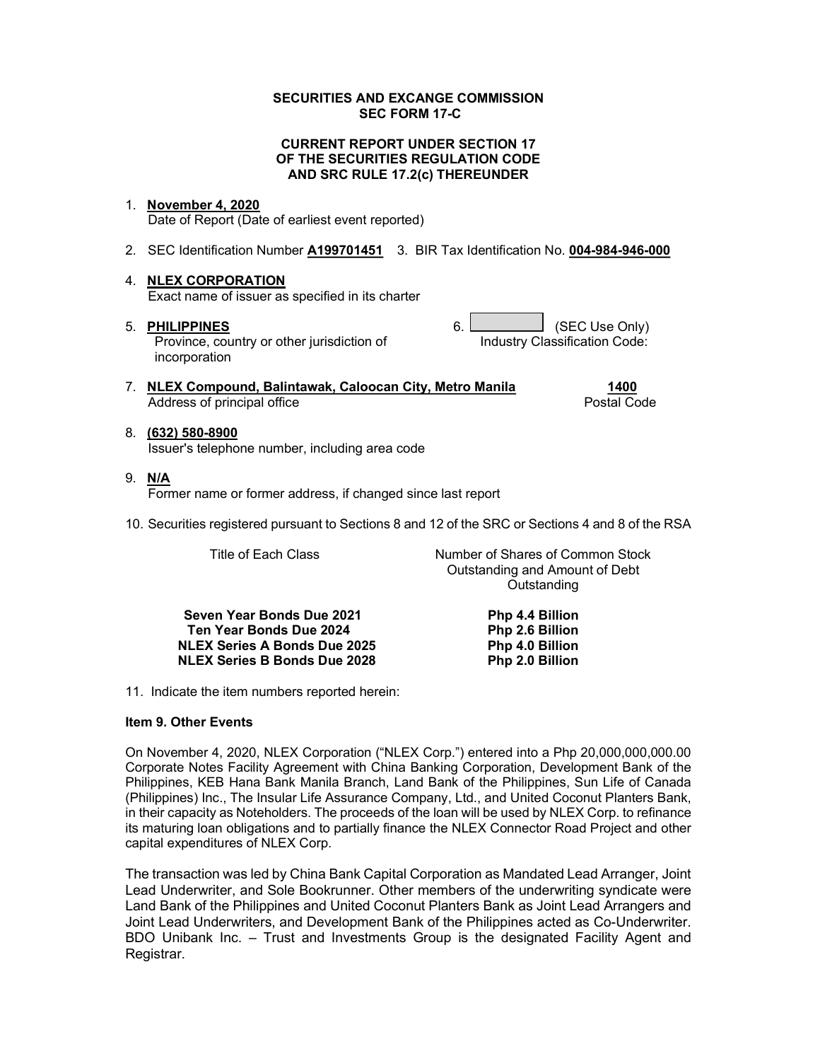#### SECURITIES AND EXCANGE COMMISSION SEC FORM 17-C

#### CURRENT REPORT UNDER SECTION 17 OF THE SECURITIES REGULATION CODE AND SRC RULE 17.2(c) THEREUNDER

#### 1. November 4, 2020

Date of Report (Date of earliest event reported)

2. SEC Identification Number A199701451 3. BIR Tax Identification No. 004-984-946-000

### 4. NLEX CORPORATION

Exact name of issuer as specified in its charter

Province, country or other jurisdiction of incorporation

5. PHILIPPINES 6. CONSIDERING A GEC Use Only) Industry Classification Code:

> Outstanding and Amount of Debt **Outstanding**

- 7. NLEX Compound, Balintawak, Caloocan City, Metro Manila 1400 Address of principal office **Postal Code** Postal Code
- 8. (632) 580-8900 Issuer's telephone number, including area code
- 9. N/A Former name or former address, if changed since last report
- 10. Securities registered pursuant to Sections 8 and 12 of the SRC or Sections 4 and 8 of the RSA

Title of Each Class Number of Shares of Common Stock

Seven Year Bonds Due 2021 Php 4.4 Billion Ten Year Bonds Due 2024 Php 2.6 Billion NLEX Series A Bonds Due 2025 Php 4.0 Billion NLEX Series B Bonds Due 2028 Php 2.0 Billion

11. Indicate the item numbers reported herein:

#### Item 9. Other Events

On November 4, 2020, NLEX Corporation ("NLEX Corp.") entered into a Php 20,000,000,000.00 Corporate Notes Facility Agreement with China Banking Corporation, Development Bank of the Philippines, KEB Hana Bank Manila Branch, Land Bank of the Philippines, Sun Life of Canada (Philippines) Inc., The Insular Life Assurance Company, Ltd., and United Coconut Planters Bank, in their capacity as Noteholders. The proceeds of the loan will be used by NLEX Corp. to refinance its maturing loan obligations and to partially finance the NLEX Connector Road Project and other capital expenditures of NLEX Corp.

The transaction was led by China Bank Capital Corporation as Mandated Lead Arranger, Joint Lead Underwriter, and Sole Bookrunner. Other members of the underwriting syndicate were Land Bank of the Philippines and United Coconut Planters Bank as Joint Lead Arrangers and Joint Lead Underwriters, and Development Bank of the Philippines acted as Co-Underwriter. BDO Unibank Inc. – Trust and Investments Group is the designated Facility Agent and Registrar.